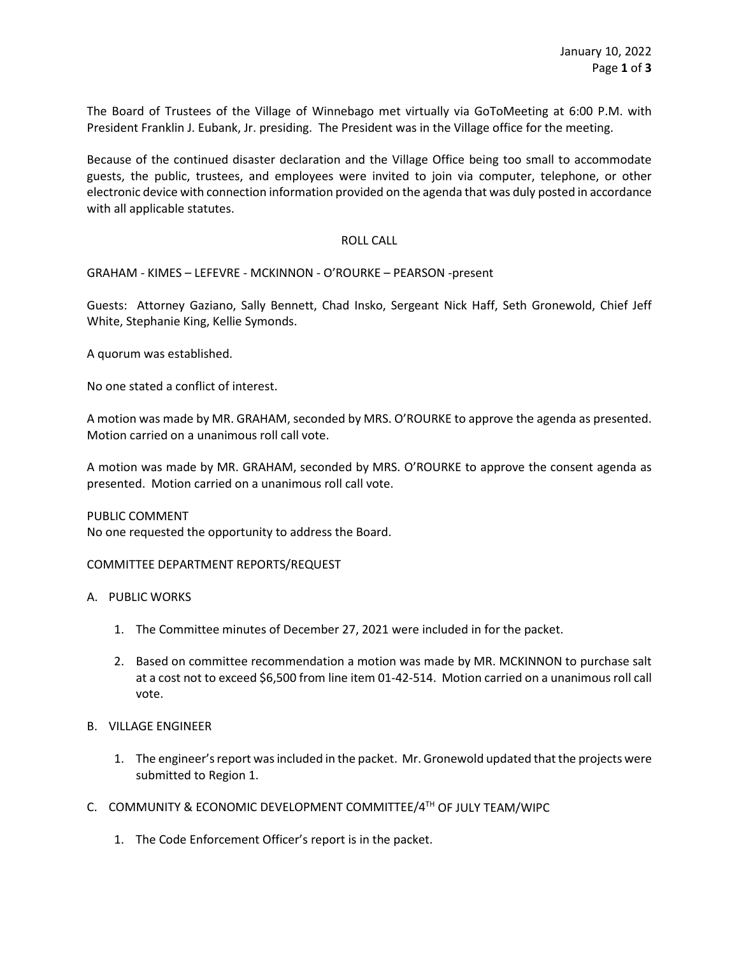The Board of Trustees of the Village of Winnebago met virtually via GoToMeeting at 6:00 P.M. with President Franklin J. Eubank, Jr. presiding. The President was in the Village office for the meeting.

Because of the continued disaster declaration and the Village Office being too small to accommodate guests, the public, trustees, and employees were invited to join via computer, telephone, or other electronic device with connection information provided on the agenda that was duly posted in accordance with all applicable statutes.

## ROLL CALL

GRAHAM - KIMES – LEFEVRE - MCKINNON - O'ROURKE – PEARSON -present

Guests: Attorney Gaziano, Sally Bennett, Chad Insko, Sergeant Nick Haff, Seth Gronewold, Chief Jeff White, Stephanie King, Kellie Symonds.

A quorum was established.

No one stated a conflict of interest.

A motion was made by MR. GRAHAM, seconded by MRS. O'ROURKE to approve the agenda as presented. Motion carried on a unanimous roll call vote.

A motion was made by MR. GRAHAM, seconded by MRS. O'ROURKE to approve the consent agenda as presented. Motion carried on a unanimous roll call vote.

PUBLIC COMMENT No one requested the opportunity to address the Board.

## COMMITTEE DEPARTMENT REPORTS/REQUEST

- A. PUBLIC WORKS
	- 1. The Committee minutes of December 27, 2021 were included in for the packet.
	- 2. Based on committee recommendation a motion was made by MR. MCKINNON to purchase salt at a cost not to exceed \$6,500 from line item 01-42-514. Motion carried on a unanimous roll call vote.

## B. VILLAGE ENGINEER

- 1. The engineer's report wasincluded in the packet. Mr. Gronewold updated that the projects were submitted to Region 1.
- C. COMMUNITY & ECONOMIC DEVELOPMENT COMMITTEE/4TH OF JULY TEAM/WIPC
	- 1. The Code Enforcement Officer's report is in the packet.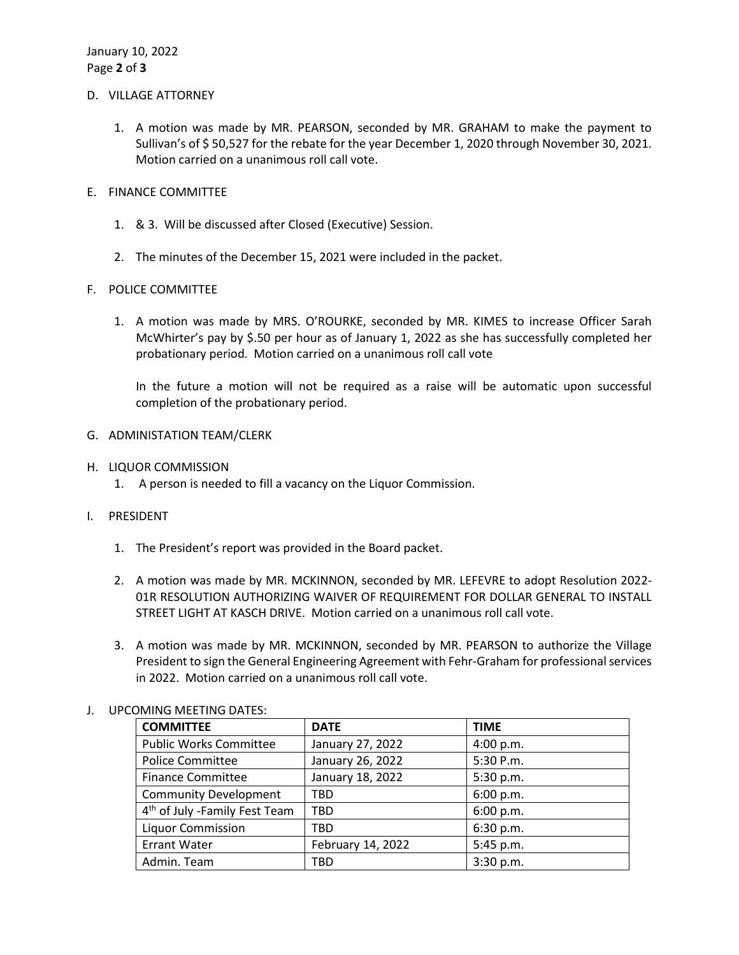## D. VILLAGE ATTORNEY

- 1. A motion was made by MR. PEARSON, seconded by MR. GRAHAM to make the payment to Sullivan's of \$ 50,527 for the rebate for the year December 1, 2020 through November 30, 2021. Motion carried on a unanimous roll call vote.
- E. FINANCE COMMITTEE
	- 1. & 3. Will be discussed after Closed (Executive) Session.
	- 2. The minutes of the December 15, 2021 were included in the packet.

# F. POLICE COMMITTEE

1. A motion was made by MRS. O'ROURKE, seconded by MR. KIMES to increase Officer Sarah McWhirter's pay by \$.50 per hour as of January 1, 2022 as she has successfully completed her probationary period. Motion carried on a unanimous roll call vote

In the future a motion will not be required as a raise will be automatic upon successful completion of the probationary period.

- G. ADMINISTATION TEAM/CLERK
- H. LIQUOR COMMISSION
	- 1. A person is needed to fill a vacancy on the Liquor Commission.
- I. PRESIDENT
	- 1. The President's report was provided in the Board packet.
	- 2. A motion was made by MR. MCKINNON, seconded by MR. LEFEVRE to adopt Resolution 2022- 01R RESOLUTION AUTHORIZING WAIVER OF REQUIREMENT FOR DOLLAR GENERAL TO INSTALL STREET LIGHT AT KASCH DRIVE. Motion carried on a unanimous roll call vote.
	- 3. A motion was made by MR. MCKINNON, seconded by MR. PEARSON to authorize the Village President to sign the General Engineering Agreement with Fehr-Graham for professional services in 2022. Motion carried on a unanimous roll call vote.

| <b>COMMITTEE</b>                          | <b>DATE</b>       | <b>TIME</b> |
|-------------------------------------------|-------------------|-------------|
| <b>Public Works Committee</b>             | January 27, 2022  | 4:00 p.m.   |
| <b>Police Committee</b>                   | January 26, 2022  | 5:30 P.m.   |
| <b>Finance Committee</b>                  | January 18, 2022  | 5:30 p.m.   |
| <b>Community Development</b>              | TBD               | 6:00 p.m.   |
| 4 <sup>th</sup> of July -Family Fest Team | <b>TBD</b>        | 6:00 p.m.   |
| <b>Liquor Commission</b>                  | <b>TBD</b>        | 6:30 p.m.   |
| <b>Errant Water</b>                       | February 14, 2022 | 5:45 p.m.   |
| Admin. Team                               | <b>TBD</b>        | 3:30 p.m.   |

# J. UPCOMING MEETING DATES: